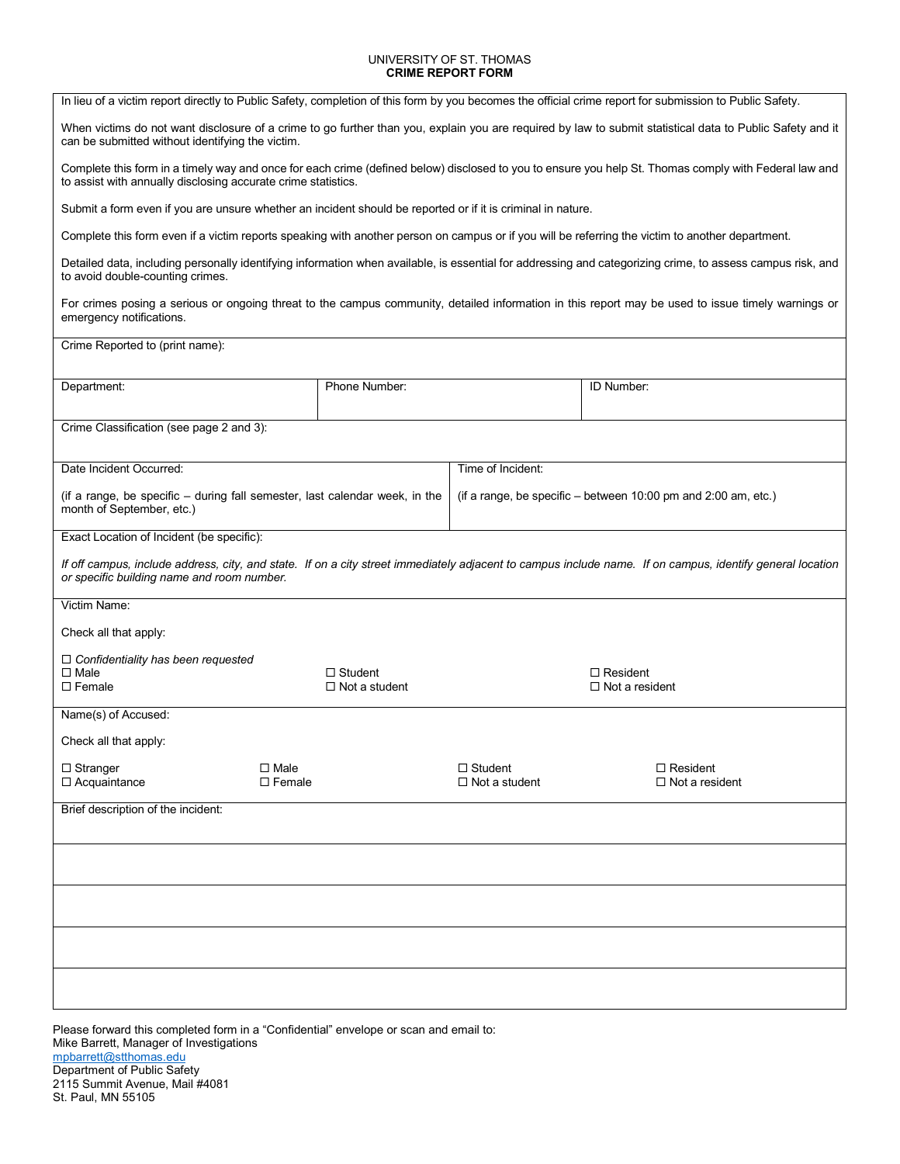### UNIVERSITY OF ST. THOMAS **CRIME REPORT FORM**

| In lieu of a victim report directly to Public Safety, completion of this form by you becomes the official crime report for submission to Public Safety.                                                                |                                    |                                                                |                                          |  |  |
|------------------------------------------------------------------------------------------------------------------------------------------------------------------------------------------------------------------------|------------------------------------|----------------------------------------------------------------|------------------------------------------|--|--|
| When victims do not want disclosure of a crime to go further than you, explain you are required by law to submit statistical data to Public Safety and it<br>can be submitted without identifying the victim.          |                                    |                                                                |                                          |  |  |
| Complete this form in a timely way and once for each crime (defined below) disclosed to you to ensure you help St. Thomas comply with Federal law and<br>to assist with annually disclosing accurate crime statistics. |                                    |                                                                |                                          |  |  |
| Submit a form even if you are unsure whether an incident should be reported or if it is criminal in nature.                                                                                                            |                                    |                                                                |                                          |  |  |
| Complete this form even if a victim reports speaking with another person on campus or if you will be referring the victim to another department.                                                                       |                                    |                                                                |                                          |  |  |
| Detailed data, including personally identifying information when available, is essential for addressing and categorizing crime, to assess campus risk, and<br>to avoid double-counting crimes.                         |                                    |                                                                |                                          |  |  |
| For crimes posing a serious or ongoing threat to the campus community, detailed information in this report may be used to issue timely warnings or<br>emergency notifications.                                         |                                    |                                                                |                                          |  |  |
| Crime Reported to (print name):                                                                                                                                                                                        |                                    |                                                                |                                          |  |  |
| Department:                                                                                                                                                                                                            | Phone Number:                      |                                                                | ID Number:                               |  |  |
|                                                                                                                                                                                                                        |                                    |                                                                |                                          |  |  |
| Crime Classification (see page 2 and 3):                                                                                                                                                                               |                                    |                                                                |                                          |  |  |
| Date Incident Occurred:                                                                                                                                                                                                |                                    | Time of Incident:                                              |                                          |  |  |
| (if a range, be specific – during fall semester, last calendar week, in the<br>month of September, etc.)                                                                                                               |                                    | (if a range, be specific – between 10:00 pm and 2:00 am, etc.) |                                          |  |  |
| Exact Location of Incident (be specific):                                                                                                                                                                              |                                    |                                                                |                                          |  |  |
| If off campus, include address, city, and state. If on a city street immediately adjacent to campus include name. If on campus, identify general location<br>or specific building name and room number.                |                                    |                                                                |                                          |  |  |
| Victim Name:                                                                                                                                                                                                           |                                    |                                                                |                                          |  |  |
| Check all that apply:                                                                                                                                                                                                  |                                    |                                                                |                                          |  |  |
| $\Box$ Confidentiality has been requested<br>$\Box$ Male                                                                                                                                                               | $\Box$ Student                     | $\Box$ Resident                                                |                                          |  |  |
| $\Box$ Female                                                                                                                                                                                                          | $\Box$ Not a student               |                                                                | $\Box$ Not a resident                    |  |  |
| Name(s) of Accused:                                                                                                                                                                                                    |                                    |                                                                |                                          |  |  |
| Check all that apply:                                                                                                                                                                                                  |                                    |                                                                |                                          |  |  |
| $\Box$ Stranger<br>$\Box$ Acquaintance                                                                                                                                                                                 | $\square$ Male<br>$\square$ Female | $\Box$ Student<br>$\Box$ Not a student                         | $\Box$ Resident<br>$\Box$ Not a resident |  |  |
| Brief description of the incident:                                                                                                                                                                                     |                                    |                                                                |                                          |  |  |
|                                                                                                                                                                                                                        |                                    |                                                                |                                          |  |  |
|                                                                                                                                                                                                                        |                                    |                                                                |                                          |  |  |
|                                                                                                                                                                                                                        |                                    |                                                                |                                          |  |  |
|                                                                                                                                                                                                                        |                                    |                                                                |                                          |  |  |
|                                                                                                                                                                                                                        |                                    |                                                                |                                          |  |  |

Please forward this completed form in a "Confidential" envelope or scan and email to: Mike Barrett, Manager of Investigations [mpbarrett@stthomas.edu](mailto:mpbarrett@stthomas.edu) Department of Public Safety 2115 Summit Avenue, Mail #4081 St. Paul, MN 55105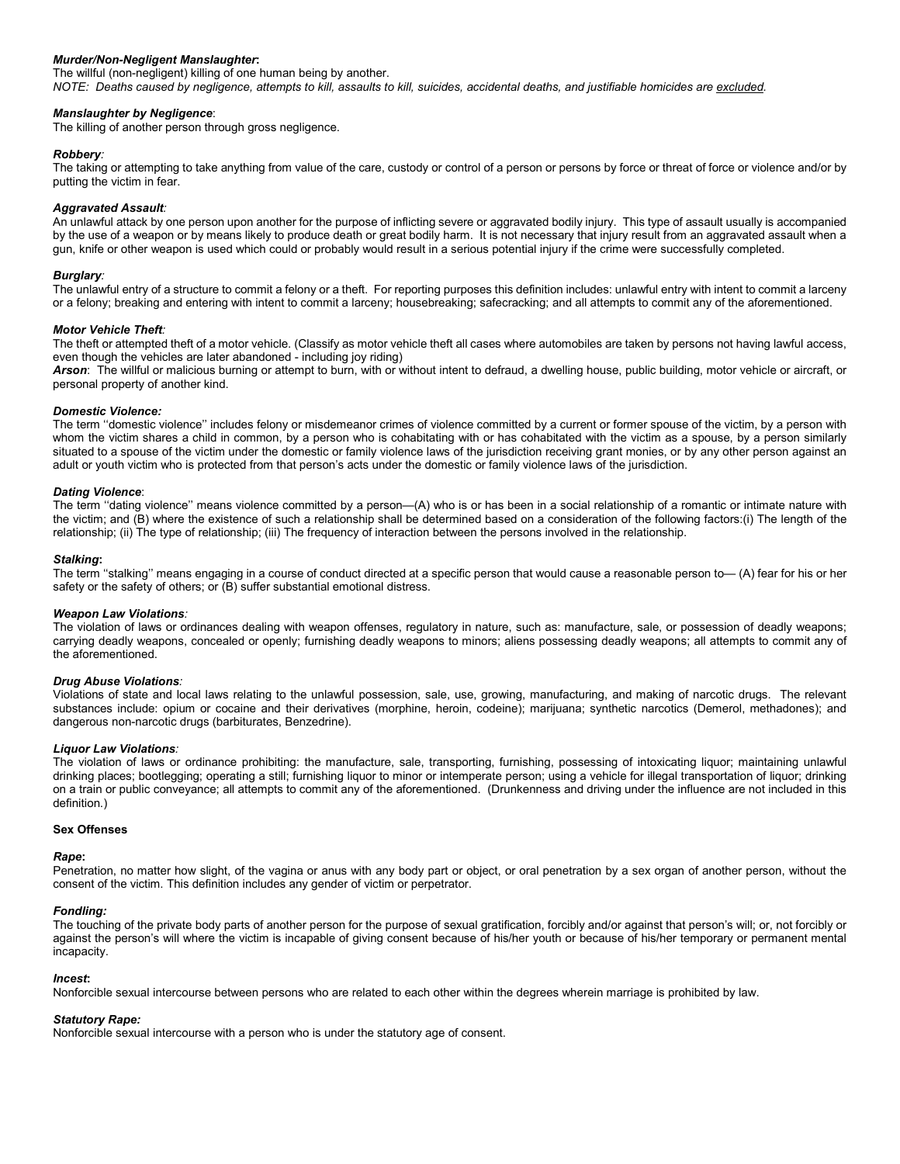### *Murder/Non-Negligent Manslaughter***:**

The willful (non-negligent) killing of one human being by another. *NOTE: Deaths caused by negligence, attempts to kill, assaults to kill, suicides, accidental deaths, and justifiable homicides are excluded.*

### *Manslaughter by Negligence*:

The killing of another person through gross negligence.

# *Robbery:*

The taking or attempting to take anything from value of the care, custody or control of a person or persons by force or threat of force or violence and/or by putting the victim in fear.

# *Aggravated Assault:*

An unlawful attack by one person upon another for the purpose of inflicting severe or aggravated bodily injury. This type of assault usually is accompanied by the use of a weapon or by means likely to produce death or great bodily harm. It is not necessary that injury result from an aggravated assault when a gun, knife or other weapon is used which could or probably would result in a serious potential injury if the crime were successfully completed.

# *Burglary:*

The unlawful entry of a structure to commit a felony or a theft. For reporting purposes this definition includes: unlawful entry with intent to commit a larceny or a felony; breaking and entering with intent to commit a larceny; housebreaking; safecracking; and all attempts to commit any of the aforementioned.

# *Motor Vehicle Theft:*

The theft or attempted theft of a motor vehicle. (Classify as motor vehicle theft all cases where automobiles are taken by persons not having lawful access, even though the vehicles are later abandoned - including joy riding)

*Arson*: The willful or malicious burning or attempt to burn, with or without intent to defraud, a dwelling house, public building, motor vehicle or aircraft, or personal property of another kind.

# *Domestic Violence:*

The term ''domestic violence'' includes felony or misdemeanor crimes of violence committed by a current or former spouse of the victim, by a person with whom the victim shares a child in common, by a person who is cohabitating with or has cohabitated with the victim as a spouse, by a person similarly situated to a spouse of the victim under the domestic or family violence laws of the jurisdiction receiving grant monies, or by any other person against an adult or youth victim who is protected from that person's acts under the domestic or family violence laws of the jurisdiction.

# *Dating Violence*:

The term ''dating violence'' means violence committed by a person—(A) who is or has been in a social relationship of a romantic or intimate nature with the victim; and (B) where the existence of such a relationship shall be determined based on a consideration of the following factors:(i) The length of the relationship; (ii) The type of relationship; (iii) The frequency of interaction between the persons involved in the relationship.

# *Stalking***:**

The term "stalking" means engaging in a course of conduct directed at a specific person that would cause a reasonable person to- (A) fear for his or her safety or the safety of others; or (B) suffer substantial emotional distress.

### *Weapon Law Violations:*

The violation of laws or ordinances dealing with weapon offenses, regulatory in nature, such as: manufacture, sale, or possession of deadly weapons; carrying deadly weapons, concealed or openly; furnishing deadly weapons to minors; aliens possessing deadly weapons; all attempts to commit any of the aforementioned.

### *Drug Abuse Violations:*

Violations of state and local laws relating to the unlawful possession, sale, use, growing, manufacturing, and making of narcotic drugs. The relevant substances include: opium or cocaine and their derivatives (morphine, heroin, codeine); marijuana; synthetic narcotics (Demerol, methadones); and dangerous non-narcotic drugs (barbiturates, Benzedrine).

### *Liquor Law Violations:*

The violation of laws or ordinance prohibiting: the manufacture, sale, transporting, furnishing, possessing of intoxicating liquor; maintaining unlawful drinking places; bootlegging; operating a still; furnishing liquor to minor or intemperate person; using a vehicle for illegal transportation of liquor; drinking on a train or public conveyance; all attempts to commit any of the aforementioned. (Drunkenness and driving under the influence are not included in this definition.)

### **Sex Offenses**

### *Rape***:**

Penetration, no matter how slight, of the vagina or anus with any body part or object, or oral penetration by a sex organ of another person, without the consent of the victim. This definition includes any gender of victim or perpetrator.

### *Fondling:*

The touching of the private body parts of another person for the purpose of sexual gratification, forcibly and/or against that person's will; or, not forcibly or against the person's will where the victim is incapable of giving consent because of his/her youth or because of his/her temporary or permanent mental incapacity.

### *Incest***:**

Nonforcible sexual intercourse between persons who are related to each other within the degrees wherein marriage is prohibited by law.

### *Statutory Rape:*

Nonforcible sexual intercourse with a person who is under the statutory age of consent.